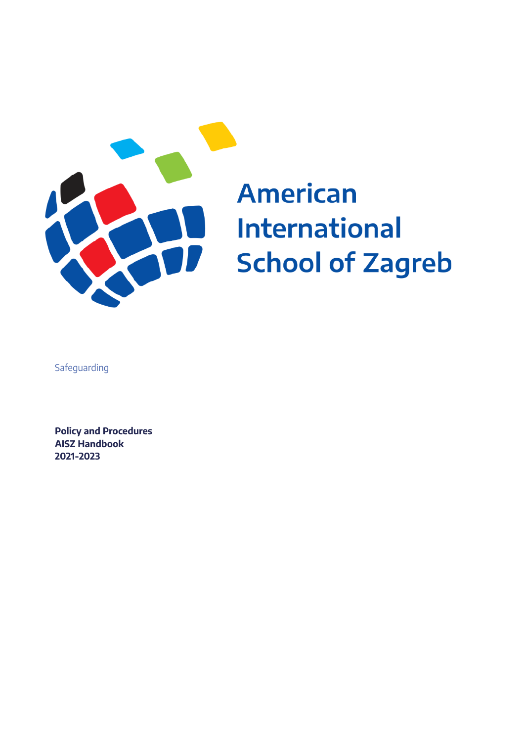

# **American International School of Zagreb**

Safeguarding

**Policy and Procedures AISZ Handbook 2021-2023**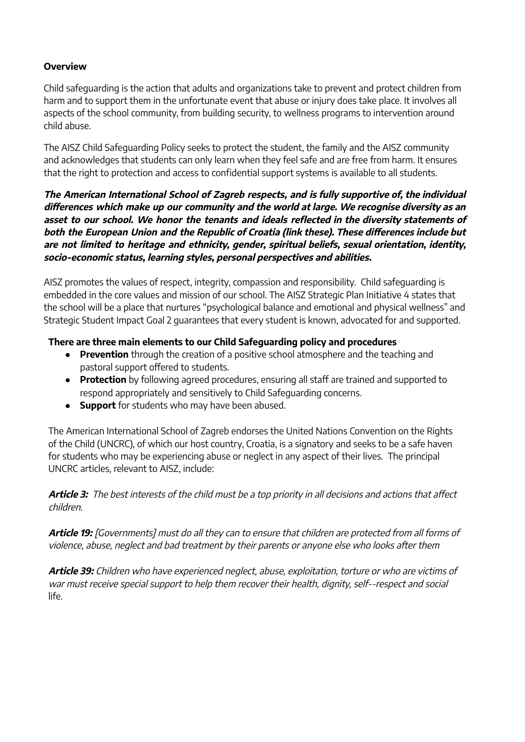#### **Overview**

Child safeguarding is the action that adults and organizations take to prevent and protect children from harm and to support them in the unfortunate event that abuse or injury does take place. It involves all aspects of the school community, from building security, to wellness programs to intervention around child abuse.

The AISZ Child Safeguarding Policy seeks to protect the student, the family and the AISZ community and acknowledges that students can only learn when they feel safe and are free from harm. It ensures that the right to protection and access to confidential support systems is available to all students.

**The American International School of Zagreb respects, and is fully supportive of, the individual differences which make up our community and the world at large. We recognise diversity as an asset to our school. We honor the tenants and ideals reflected in the diversity statements of both the European Union and the Republic of Croatia (link these). These differences include but are not limited to heritage and ethnicity, gender, spiritual beliefs, sexual orientation, identity, socio-economic status, learning styles, personal perspectives and abilities.**

AISZ promotes the values of respect, integrity, compassion and responsibility. Child safeguarding is embedded in the core values and mission of our school. The AISZ Strategic Plan Initiative 4 states that the school will be a place that nurtures "psychological balance and emotional and physical wellness" and Strategic Student Impact Goal 2 guarantees that every student is known, advocated for and supported.

#### **There are three main elements to our Child Safeguarding policy and procedures**

- **Prevention** through the creation of a positive school atmosphere and the teaching and pastoral support offered to students.
- **Protection** by following agreed procedures, ensuring all staff are trained and supported to respond appropriately and sensitively to Child Safeguarding concerns.
- **Support** for students who may have been abused.

The American International School of Zagreb endorses the United Nations Convention on the Rights of the Child (UNCRC), of which our host country, Croatia, is a signatory and seeks to be a safe haven for students who may be experiencing abuse or neglect in any aspect of their lives. The principal UNCRC articles, relevant to AISZ, include:

**Article 3:** The best interests of the child must be <sup>a</sup> top priority in all decisions and actions that affect children.

**Article 19:** [Governments] must do all they can to ensure that children are protected from all forms of violence, abuse, neglect and bad treatment by their parents or anyone else who looks after them

**Article 39:** Children who have experienced neglect, abuse, exploitation, torture or who are victims of war must receive special support to help them recover their health, dignity, self-‐respect and social life.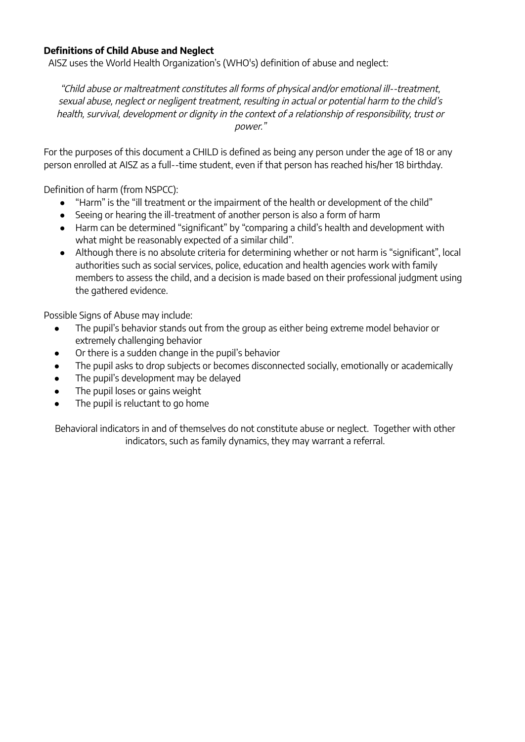#### **Definitions of Child Abuse and Neglect**

AISZ uses the World Health Organization's (WHO's) definition of abuse and neglect:

"Child abuse or maltreatment constitutes all forms of physical and/or emotional ill-‐treatment, sexual abuse, neglect or negligent treatment, resulting in actual or potential harm to the child's health, survival, development or dignity in the context of <sup>a</sup> relationship of responsibility, trust or power."

For the purposes of this document a CHILD is defined as being any person under the age of 18 or any person enrolled at AISZ as a full-‐time student, even if that person has reached his/her 18 birthday.

Definition of harm (from NSPCC):

- "Harm" is the "ill treatment or the impairment of the health or development of the child"
- Seeing or hearing the ill-treatment of another person is also a form of harm
- Harm can be determined "significant" by "comparing a child's health and development with what might be reasonably expected of a similar child".
- Although there is no absolute criteria for determining whether or not harm is "significant", local authorities such as social services, police, education and health agencies work with family members to assess the child, and a decision is made based on their professional judgment using the gathered evidence.

Possible Signs of Abuse may include:

- The pupil's behavior stands out from the group as either being extreme model behavior or extremely challenging behavior
- Or there is a sudden change in the pupil's behavior
- The pupil asks to drop subjects or becomes disconnected socially, emotionally or academically
- The pupil's development may be delayed
- The pupil loses or gains weight
- The pupil is reluctant to go home

Behavioral indicators in and of themselves do not constitute abuse or neglect. Together with other indicators, such as family dynamics, they may warrant a referral.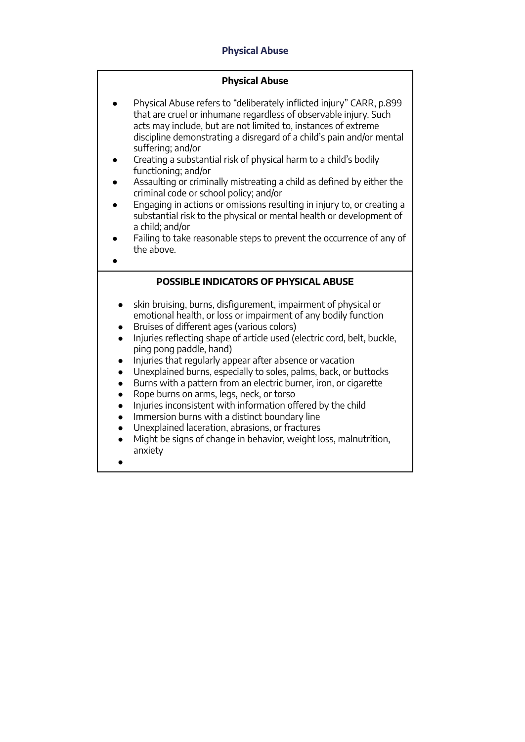## **Physical Abuse**

#### **Physical Abuse**

- Physical Abuse refers to "deliberately inflicted injury" CARR, p.899 that are cruel or inhumane regardless of observable injury. Such acts may include, but are not limited to, instances of extreme discipline demonstrating a disregard of a child's pain and/or mental suffering; and/or
- Creating a substantial risk of physical harm to a child's bodily functioning; and/or
- Assaulting or criminally mistreating a child as defined by either the criminal code or school policy; and/or
- Engaging in actions or omissions resulting in injury to, or creating a substantial risk to the physical or mental health or development of a child; and/or
- Failing to take reasonable steps to prevent the occurrence of any of the above.
- **POSSIBLE INDICATORS OF PHYSICAL ABUSE** skin bruising, burns, disfigurement, impairment of physical or emotional health, or loss or impairment of any bodily function ● Bruises of different ages (various colors) Injuries reflecting shape of article used (electric cord, belt, buckle, ping pong paddle, hand) Injuries that regularly appear after absence or vacation ● Unexplained burns, especially to soles, palms, back, or buttocks ● Burns with a pattern from an electric burner, iron, or cigarette ● Rope burns on arms, legs, neck, or torso ● Injuries inconsistent with information offered by the child ● Immersion burns with a distinct boundary line ● Unexplained laceration, abrasions, or fractures
	- Might be signs of change in behavior, weight loss, malnutrition, anxiety
	- ●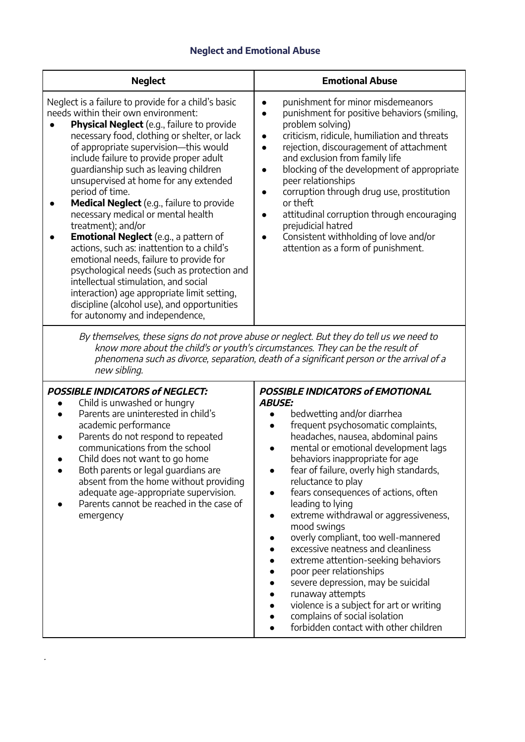# **Neglect and Emotional Abuse**

| <b>Neglect</b>                                                                                                                                                                                                                                                                                                                                                                                                                                                                                                                                                                                                                                                                                                                                                                                                                                                    | <b>Emotional Abuse</b>                                                                                                                                                                                                                                                                                                                                                                                                                                                                                                                                   |  |  |  |
|-------------------------------------------------------------------------------------------------------------------------------------------------------------------------------------------------------------------------------------------------------------------------------------------------------------------------------------------------------------------------------------------------------------------------------------------------------------------------------------------------------------------------------------------------------------------------------------------------------------------------------------------------------------------------------------------------------------------------------------------------------------------------------------------------------------------------------------------------------------------|----------------------------------------------------------------------------------------------------------------------------------------------------------------------------------------------------------------------------------------------------------------------------------------------------------------------------------------------------------------------------------------------------------------------------------------------------------------------------------------------------------------------------------------------------------|--|--|--|
| Neglect is a failure to provide for a child's basic<br>needs within their own environment:<br>Physical Neglect (e.g., failure to provide<br>necessary food, clothing or shelter, or lack<br>of appropriate supervision-this would<br>include failure to provide proper adult<br>guardianship such as leaving children<br>unsupervised at home for any extended<br>period of time.<br><b>Medical Neglect</b> (e.g., failure to provide<br>necessary medical or mental health<br>treatment); and/or<br><b>Emotional Neglect</b> (e.g., a pattern of<br>actions, such as: inattention to a child's<br>emotional needs, failure to provide for<br>psychological needs (such as protection and<br>intellectual stimulation, and social<br>interaction) age appropriate limit setting,<br>discipline (alcohol use), and opportunities<br>for autonomy and independence, | punishment for minor misdemeanors<br>punishment for positive behaviors (smiling,<br>problem solving)<br>criticism, ridicule, humiliation and threats<br>$\bullet$<br>rejection, discouragement of attachment<br>$\bullet$<br>and exclusion from family life<br>blocking of the development of appropriate<br>peer relationships<br>corruption through drug use, prostitution<br>or theft<br>attitudinal corruption through encouraging<br>prejudicial hatred<br>Consistent withholding of love and/or<br>$\bullet$<br>attention as a form of punishment. |  |  |  |
| By themselves, these signs do not prove abuse or neglect. But they do tell us we need to                                                                                                                                                                                                                                                                                                                                                                                                                                                                                                                                                                                                                                                                                                                                                                          |                                                                                                                                                                                                                                                                                                                                                                                                                                                                                                                                                          |  |  |  |

By themselves, these signs do not prove abuse or neglect. But they do tell us we need to know more about the child's or youth's circumstances. They can be the result of phenomena such as divorce, separation, death of <sup>a</sup> significant person or the arrival of <sup>a</sup> new sibling.

| <b>POSSIBLE INDICATORS of NEGLECT:</b>                                                                                                                                                                                                                                                                                                                                                  | <b>POSSIBLE INDICATORS of EMOTIONAL</b>                                                                                                                                                                                                                                                                                                                                                                                                                                                                                                                                                                                                                                                                                                                                                 |
|-----------------------------------------------------------------------------------------------------------------------------------------------------------------------------------------------------------------------------------------------------------------------------------------------------------------------------------------------------------------------------------------|-----------------------------------------------------------------------------------------------------------------------------------------------------------------------------------------------------------------------------------------------------------------------------------------------------------------------------------------------------------------------------------------------------------------------------------------------------------------------------------------------------------------------------------------------------------------------------------------------------------------------------------------------------------------------------------------------------------------------------------------------------------------------------------------|
| Child is unwashed or hungry<br>Parents are uninterested in child's<br>academic performance<br>Parents do not respond to repeated<br>communications from the school<br>Child does not want to go home<br>Both parents or legal guardians are<br>absent from the home without providing<br>adequate age-appropriate supervision.<br>Parents cannot be reached in the case of<br>emergency | <b>ABUSE:</b><br>bedwetting and/or diarrhea<br>frequent psychosomatic complaints,<br>$\bullet$<br>headaches, nausea, abdominal pains<br>mental or emotional development lags<br>$\bullet$<br>behaviors inappropriate for age<br>fear of failure, overly high standards,<br>$\bullet$<br>reluctance to play<br>fears consequences of actions, often<br>leading to lying<br>extreme withdrawal or aggressiveness,<br>$\bullet$<br>mood swings<br>overly compliant, too well-mannered<br>excessive neatness and cleanliness<br>extreme attention-seeking behaviors<br>poor peer relationships<br>severe depression, may be suicidal<br>$\bullet$<br>runaway attempts<br>violence is a subject for art or writing<br>complains of social isolation<br>forbidden contact with other children |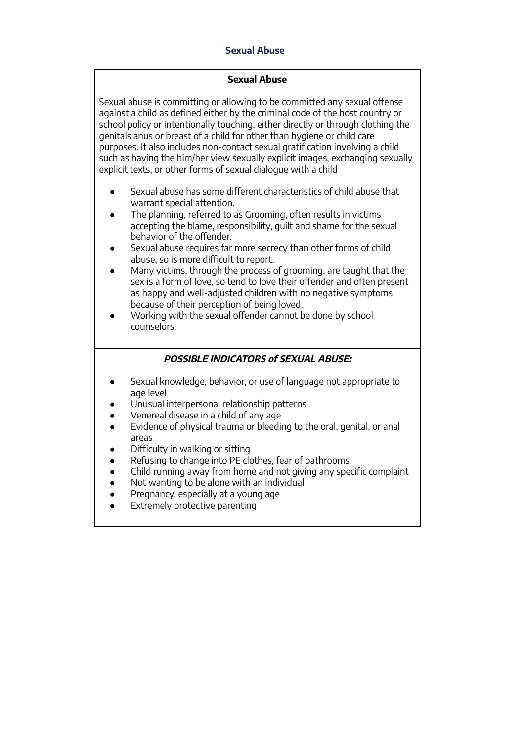## **Sexual Abuse**

#### **Sexual Abuse**

Sexual abuse is committing or allowing to be committed any sexual offense against a child as defined either by the criminal code of the host country or school policy or intentionally touching, either directly or through clothing the genitals anus or breast of a child for other than hygiene or child care purposes. It also includes non-contact sexual gratification involving a child such as having the him/her view sexually explicit images, exchanging sexually explicit texts, or other forms of sexual dialogue with a child

- Sexual abuse has some different characteristics of child abuse that warrant special attention.
- The planning, referred to as Grooming, often results in victims accepting the blame, responsibility, guilt and shame for the sexual behavior of the offender.
- Sexual abuse requires far more secrecy than other forms of child abuse, so is more difficult to report.
- Many victims, through the process of grooming, are taught that the sex is a form of love, so tend to love their offender and often present as happy and well-adjusted children with no negative symptoms because of their perception of being loved.
- Working with the sexual offender cannot be done by school counselors.

## **POSSIBLE INDICATORS of SEXUAL ABUSE:**

- Sexual knowledge, behavior, or use of language not appropriate to age level
- Unusual interpersonal relationship patterns
- Venereal disease in a child of any age
- Evidence of physical trauma or bleeding to the oral, genital, or anal areas
- Difficulty in walking or sitting
- Refusing to change into PE clothes, fear of bathrooms
- Child running away from home and not giving any specific complaint
- Not wanting to be alone with an individual
- Pregnancy, especially at a young age
- Extremely protective parenting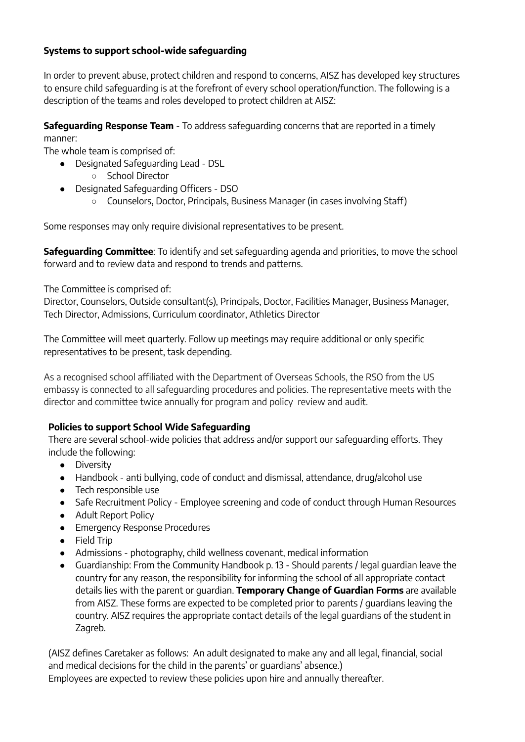## **Systems to support school-wide safeguarding**

In order to prevent abuse, protect children and respond to concerns, AISZ has developed key structures to ensure child safeguarding is at the forefront of every school operation/function. The following is a description of the teams and roles developed to protect children at AISZ:

**Safeguarding Response Team** - To address safeguarding concerns that are reported in a timely manner:

The whole team is comprised of:

- Designated Safeguarding Lead DSL
	- School Director
- Designated Safeguarding Officers DSO
	- Counselors, Doctor, Principals, Business Manager (in cases involving Staff)

Some responses may only require divisional representatives to be present.

**Safeguarding Committee**: To identify and set safeguarding agenda and priorities, to move the school forward and to review data and respond to trends and patterns.

The Committee is comprised of:

Director, Counselors, Outside consultant(s), Principals, Doctor, Facilities Manager, Business Manager, Tech Director, Admissions, Curriculum coordinator, Athletics Director

The Committee will meet quarterly. Follow up meetings may require additional or only specific representatives to be present, task depending.

As a recognised school affiliated with the Department of Overseas Schools, the RSO from the US embassy is connected to all safeguarding procedures and policies. The representative meets with the director and committee twice annually for program and policy review and audit.

# **Policies to support School Wide Safeguarding**

There are several school-wide policies that address and/or support our safeguarding efforts. They include the following:

- Diversity
- Handbook anti bullying, code of conduct and dismissal, attendance, drug/alcohol use
- Tech responsible use
- Safe Recruitment Policy Employee screening and code of conduct through Human Resources
- Adult Report Policy
- Emergency Response Procedures
- Field Trip
- Admissions photography, child wellness covenant, medical information
- Guardianship: From the Community Handbook p. 13 Should parents / legal guardian leave the country for any reason, the responsibility for informing the school of all appropriate contact details lies with the parent or guardian. **Temporary Change of Guardian Forms** are available from AISZ. These forms are expected to be completed prior to parents / guardians leaving the country. AISZ requires the appropriate contact details of the legal guardians of the student in Zagreb.

(AISZ defines Caretaker as follows: An adult designated to make any and all legal, financial, social and medical decisions for the child in the parents' or guardians' absence.) Employees are expected to review these policies upon hire and annually thereafter.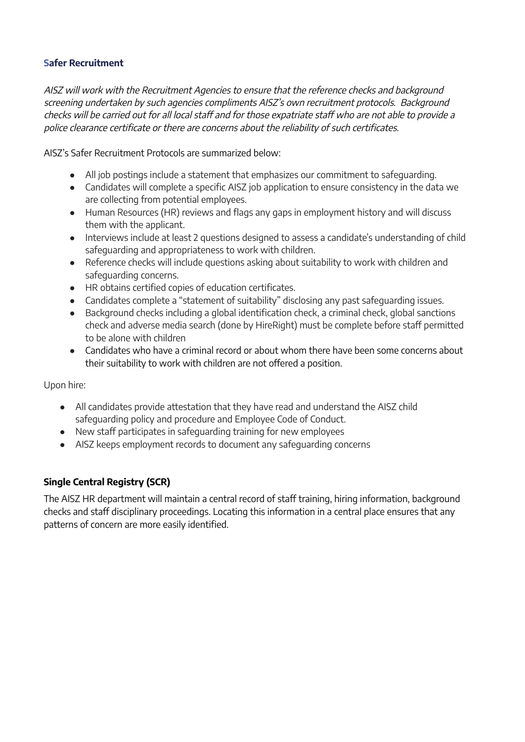## **Safer Recruitment**

AISZ will work with the Recruitment Agencies to ensure that the reference checks and background screening undertaken by such agencies compliments AISZ's own recruitment protocols. Background checks will be carried out for all local staff and for those expatriate staff who are not able to provide <sup>a</sup> police clearance certificate or there are concerns about the reliability of such certificates.

AISZ's Safer Recruitment Protocols are summarized below:

- All job postings include a statement that emphasizes our commitment to safeguarding.
- Candidates will complete a specific AISZ job application to ensure consistency in the data we are collecting from potential employees.
- Human Resources (HR) reviews and flags any gaps in employment history and will discuss them with the applicant.
- Interviews include at least 2 questions designed to assess a candidate's understanding of child safeguarding and appropriateness to work with children.
- Reference checks will include questions asking about suitability to work with children and safeguarding concerns.
- HR obtains certified copies of education certificates.
- Candidates complete a "statement of suitability" disclosing any past safeguarding issues.
- Background checks including a global identification check, a criminal check, global sanctions check and adverse media search (done by HireRight) must be complete before staff permitted to be alone with children
- Candidates who have a criminal record or about whom there have been some concerns about their suitability to work with children are not offered a position.

Upon hire:

- All candidates provide attestation that they have read and understand the AISZ child safeguarding policy and procedure and Employee Code of Conduct.
- New staff participates in safeguarding training for new employees
- AISZ keeps employment records to document any safeguarding concerns

# **Single Central Registry (SCR)**

The AISZ HR department will maintain a central record of staff training, hiring information, background checks and staff disciplinary proceedings. Locating this information in a central place ensures that any patterns of concern are more easily identified.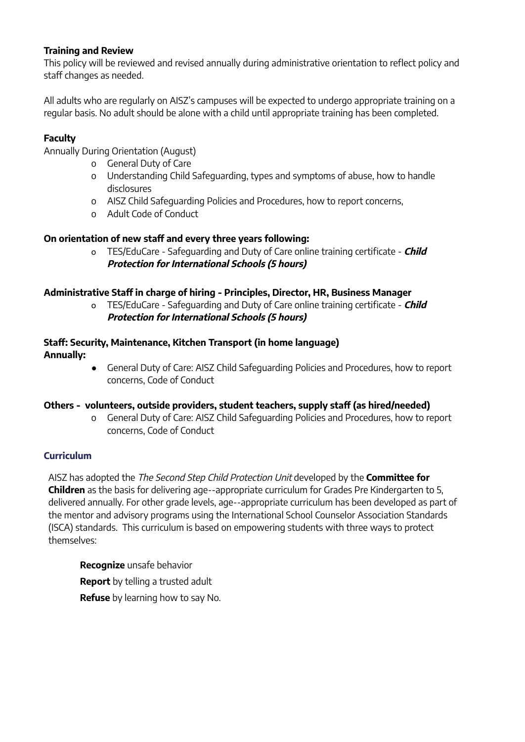#### **Training and Review**

This policy will be reviewed and revised annually during administrative orientation to reflect policy and staff changes as needed.

All adults who are regularly on AISZ's campuses will be expected to undergo appropriate training on a regular basis. No adult should be alone with a child until appropriate training has been completed.

## **Faculty**

Annually During Orientation (August)

- o General Duty of Care
- o Understanding Child Safeguarding, types and symptoms of abuse, how to handle disclosures
- o AISZ Child Safeguarding Policies and Procedures, how to report concerns,
- o Adult Code of Conduct

## **On orientation of new staff and every three years following:**

o TES/EduCare - Safeguarding and Duty of Care online training certificate - **Child Protection for International Schools (5 hours)**

#### **Administrative Staff in charge of hiring - Principles, Director, HR, Business Manager**

o TES/EduCare - Safeguarding and Duty of Care online training certificate - **Child Protection for International Schools (5 hours)**

#### **Staff: Security, Maintenance, Kitchen Transport (in home language) Annually:**

● General Duty of Care: AISZ Child Safeguarding Policies and Procedures, how to report concerns, Code of Conduct

#### **Others - volunteers, outside providers, student teachers, supply staff (as hired/needed)**

o General Duty of Care: AISZ Child Safeguarding Policies and Procedures, how to report concerns, Code of Conduct

## **Curriculum**

AISZ has adopted the The Second Step Child Protection Unit developed by the **Committee for Children** as the basis for delivering age-‐appropriate curriculum for Grades Pre Kindergarten to 5, delivered annually. For other grade levels, age-‐appropriate curriculum has been developed as part of the mentor and advisory programs using the International School Counselor Association Standards (ISCA) standards. This curriculum is based on empowering students with three ways to protect themselves:

**Recognize** unsafe behavior **Report** by telling a trusted adult **Refuse** by learning how to say No.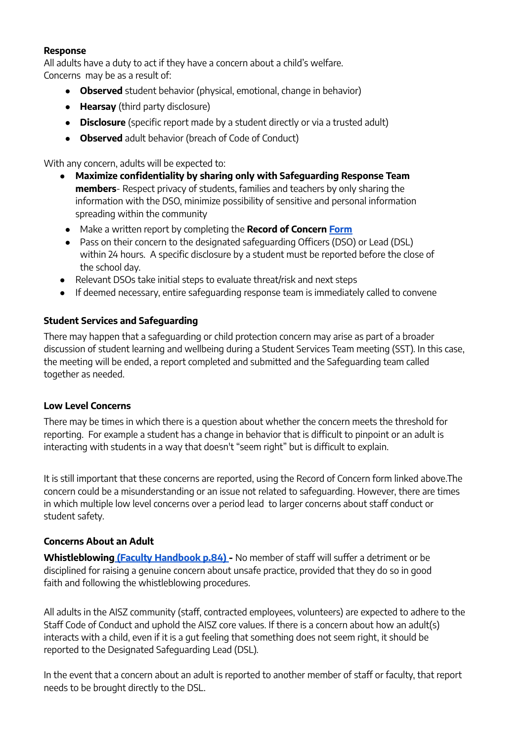#### **Response**

All adults have a duty to act if they have a concern about a child's welfare. Concerns may be as a result of:

- **Observed** student behavior (physical, emotional, change in behavior)
- **Hearsay** (third party disclosure)
- **Disclosure** (specific report made by a student directly or via a trusted adult)
- **Observed** adult behavior (breach of Code of Conduct)

With any concern, adults will be expected to:

- **Maximize confidentiality by sharing only with Safeguarding Response Team members**- Respect privacy of students, families and teachers by only sharing the information with the DSO, minimize possibility of sensitive and personal information spreading within the community
- Make a written report by completing the **Record of Concern [Form](https://drive.google.com/file/d/1C7LGwjiRdYQ8zaEt8fdKeNgNWJDDxSYR/view?usp=sharing)**
- Pass on their concern to the designated safeguarding Officers (DSO) or Lead (DSL) within 24 hours. A specific disclosure by a student must be reported before the close of the school day.
- Relevant DSOs take initial steps to evaluate threat/risk and next steps
- If deemed necessary, entire safeguarding response team is immediately called to convene

## **Student Services and Safeguarding**

There may happen that a safeguarding or child protection concern may arise as part of a broader discussion of student learning and wellbeing during a Student Services Team meeting (SST). In this case, the meeting will be ended, a report completed and submitted and the Safeguarding team called together as needed.

## **Low Level Concerns**

There may be times in which there is a question about whether the concern meets the threshold for reporting. For example a student has a change in behavior that is difficult to pinpoint or an adult is interacting with students in a way that doesn't "seem right" but is difficult to explain.

It is still important that these concerns are reported, using the Record of Concern form linked above.The concern could be a misunderstanding or an issue not related to safeguarding. However, there are times in which multiple low level concerns over a period lead to larger concerns about staff conduct or student safety.

## **Concerns About an Adult**

**Whistleblowing (Faculty [Handbook](https://docs.google.com/document/d/1bEWP8thmR3TWkEt6eK1g2Oj0xnreXWgT2FVlUR_WBTI/edit?usp=sharing) p.84) -** No member of staff will suffer a detriment or be disciplined for raising a genuine concern about unsafe practice, provided that they do so in good faith and following the whistleblowing procedures.

All adults in the AISZ community (staff, contracted employees, volunteers) are expected to adhere to the Staff Code of Conduct and uphold the AISZ core values. If there is a concern about how an adult(s) interacts with a child, even if it is a gut feeling that something does not seem right, it should be reported to the Designated Safeguarding Lead (DSL).

In the event that a concern about an adult is reported to another member of staff or faculty, that report needs to be brought directly to the DSL.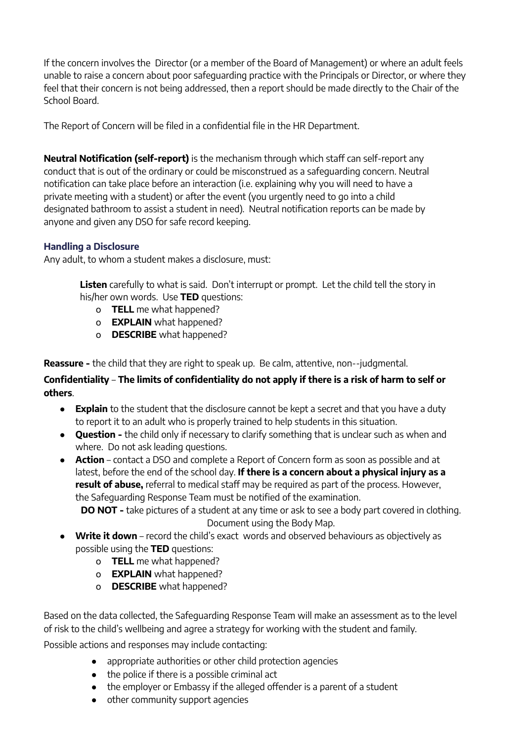If the concern involves the Director (or a member of the Board of Management) or where an adult feels unable to raise a concern about poor safeguarding practice with the Principals or Director, or where they feel that their concern is not being addressed, then a report should be made directly to the Chair of the School Board.

The Report of Concern will be filed in a confidential file in the HR Department.

**Neutral Notification (self-report)** is the mechanism through which staff can self-report any conduct that is out of the ordinary or could be misconstrued as a safeguarding concern. Neutral notification can take place before an interaction (i.e. explaining why you will need to have a private meeting with a student) or after the event (you urgently need to go into a child designated bathroom to assist a student in need). Neutral notification reports can be made by anyone and given any DSO for safe record keeping.

## **Handling a Disclosure**

Any adult, to whom a student makes a disclosure, must:

**Listen** carefully to what is said. Don't interrupt or prompt. Let the child tell the story in his/her own words. Use **TED** questions:

- o **TELL** me what happened?
- o **EXPLAIN** what happened?
- o **DESCRIBE** what happened?

**Reassure -** the child that they are right to speak up. Be calm, attentive, non-‐judgmental.

# **Confidentiality** – **The limits of confidentiality do not apply if there is a risk of harm to self or others**.

- **Explain** to the student that the disclosure cannot be kept a secret and that you have a duty to report it to an adult who is properly trained to help students in this situation.
- **Question -** the child only if necessary to clarify something that is unclear such as when and where. Do not ask leading questions.
- **Action** contact a DSO and complete a Report of Concern form as soon as possible and at latest, before the end of the school day. **If there is a concern about a physical injury as a result of abuse,** referral to medical staff may be required as part of the process. However, the Safeguarding Response Team must be notified of the examination.

**DO NOT -** take pictures of a student at any time or ask to see a body part covered in clothing. Document using the Body Map.

- **Write it down** record the child's exact words and observed behaviours as objectively as possible using the **TED** questions:
	- o **TELL** me what happened?
	- o **EXPLAIN** what happened?
	- o **DESCRIBE** what happened?

Based on the data collected, the Safeguarding Response Team will make an assessment as to the level of risk to the child's wellbeing and agree a strategy for working with the student and family.

Possible actions and responses may include contacting:

- appropriate authorities or other child protection agencies
- the police if there is a possible criminal act
- the employer or Embassy if the alleged offender is a parent of a student
- other community support agencies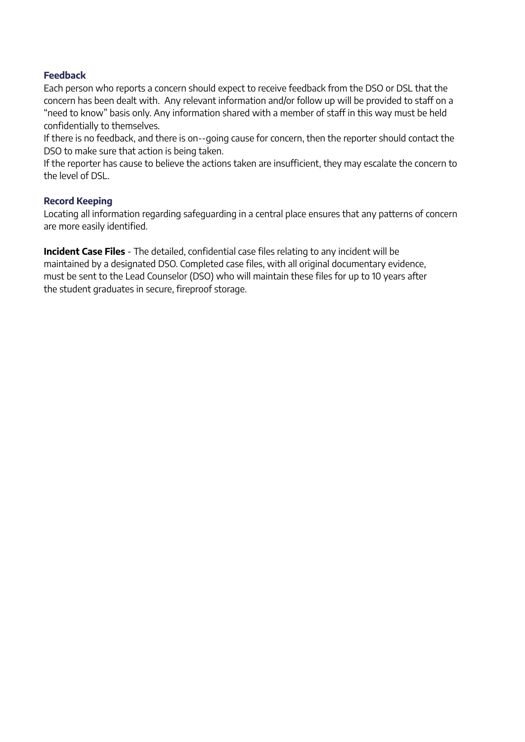#### **Feedback**

Each person who reports a concern should expect to receive feedback from the DSO or DSL that the concern has been dealt with. Any relevant information and/or follow up will be provided to staff on a "need to know" basis only. Any information shared with a member of staff in this way must be held confidentially to themselves.

If there is no feedback, and there is on-‐going cause for concern, then the reporter should contact the DSO to make sure that action is being taken.

If the reporter has cause to believe the actions taken are insufficient, they may escalate the concern to the level of DSL.

#### **Record Keeping**

Locating all information regarding safeguarding in a central place ensures that any patterns of concern are more easily identified.

**Incident Case Files** - The detailed, confidential case files relating to any incident will be maintained by a designated DSO. Completed case files, with all original documentary evidence, must be sent to the Lead Counselor (DSO) who will maintain these files for up to 10 years after the student graduates in secure, fireproof storage.